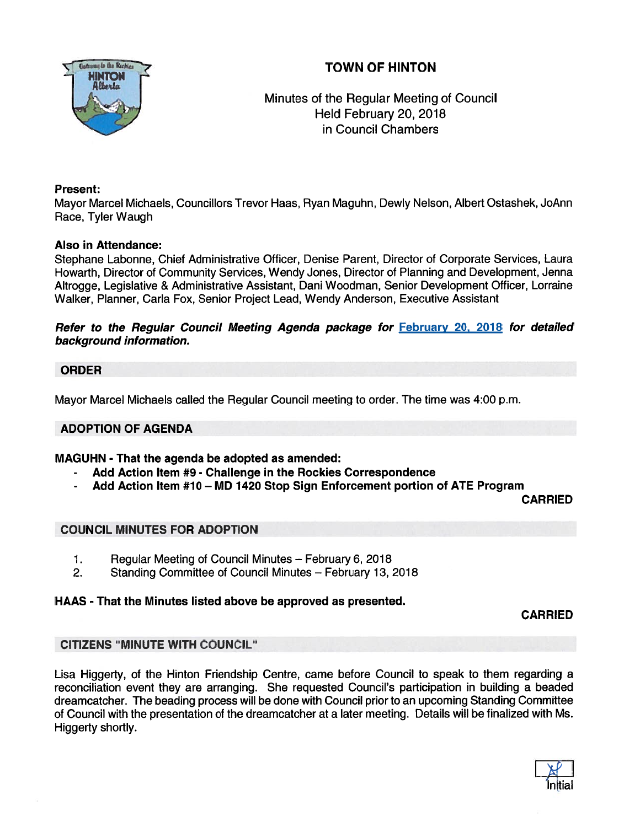# TOWN OF HINTON



Minutes of the Regular Meeting of Council Held February 20, 2018 in Council Chambers

## Present:

Mayor Marcel Michaels, Councillors Trevor Haas, Ryan Maguhn, Dewly Nelson, Albert Ostashek, JoAnn Race, Tyler Waugh

## Also in Attendance:

Stephane Labonne, Chief Administrative Officer, Denise Parent, Director of Corporate Services, Laura Howarth, Director of Community Services, Wendy Jones, Director of Planning and Development, Jenna Altrogge, Legislative & Administrative Assistant, Dani Woodman, Senior Development Officer, Lorraine Walker, Planner, Carla Fox, Senior Project Lead, Wendy Anderson, Executive Assistant

### Refer to the Regular Council Meeting Agenda package for February 20, 2018 for detailed background information.

## ORDER

Mayor Marcel Michaels called the Regular Council meeting to order. The time was 4:00 p.m.

# ADOPTION OF AGENDA

MAGUHN - That the agenda be adopted as amended:

- Add Action Item #9 Challenge in the Rockies Correspondence
- Add Action Item #10 MD 1420 Stop Sign Enforcement portion of ATE Program

CARRIED

# COUNCIL MINUTES FOR ADOPTION

- 1. Regular Meeting of Council Minutes February 6, 2018
- 2. Standing Committee of Council Minutes February 13, 2018

# HAAS - That the Minutes listed above be approved as presented.

CARRIED

# CITIZENS "MINUTE WITH COUNCIL"

Lisa Higgerty, of the Hinton Friendship Centre, came before Council to speak to them regarding <sup>a</sup> reconciliation event they are arranging. She requested Council's participation in building <sup>a</sup> beaded dreamcatcher. The beading process will be done with Council prior to an upcoming Standing Committee of Council with the presentation of the dreamcatcher at <sup>a</sup> later meeting. Details will be finalized with Ms. Higgerty shortly.

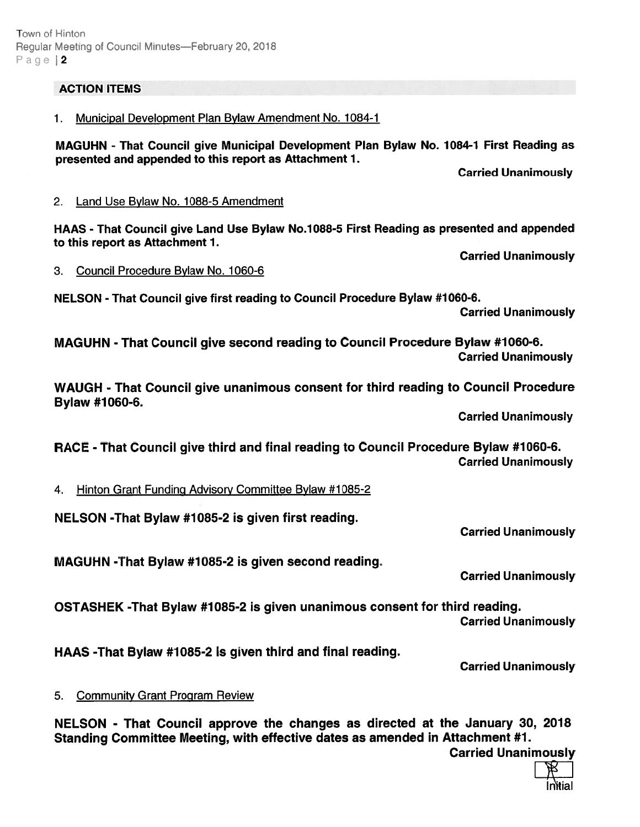# ACTION ITEMS

1. Municipal Development Plan Bylaw Amendment No. 1084-1

MAGUHN - That Council give Municipal Development Plan Bylaw No. 1084-1 First Reading as presented and appended to this repor<sup>t</sup> as Attachment 1.

Carried Unanimously

# 2. Land Use Bylaw No. 1088-5 Amendment

HAAS - That Council give Land Use Bylaw No.7088-5 First Reading as presented and appended to this repor<sup>t</sup> as Attachment 1.

3. Council Procedure Bylaw No. 1060-6

NELSON - That Council give first reading to Council Procedure Bylaw #1060-6.

Carried Unanimously

Carried Unanimously

MAGUHN - That Council give second reading to Council Procedure Bylaw #1060-6. Carried Unanimously

WAUGH - That Council <sup>g</sup>ive unanimous consent for third reading to Council Procedure Bylaw #1060-6.

Carried Unanimously

RACE - That Council give third and final reading to Council Procedure Bylaw #1060-6. Carried Unanimously

4. Hinton Grant Funding Advisory Committee Bylaw #1085-2

NELSON -That Bylaw #7085-2 is given first reading.

MAGUHN -That Bylaw #1085-2 is given second reading.

Carried Unanimously

Carried Unanimously

OSTASHEK -That Bylaw #7085-2 is given unanimous consent for third reading.

Carried Unanimously

HAAS -That Bylaw #1085-2 is given third and final reading.

Carried Unanimously

# 5. Community Grant Program Review

NELSON - That Council approve the changes as directed at the January 30, 2078 Standing Committee Meeting, with effective dates as amended in Attachment #1. Carried Unanimously

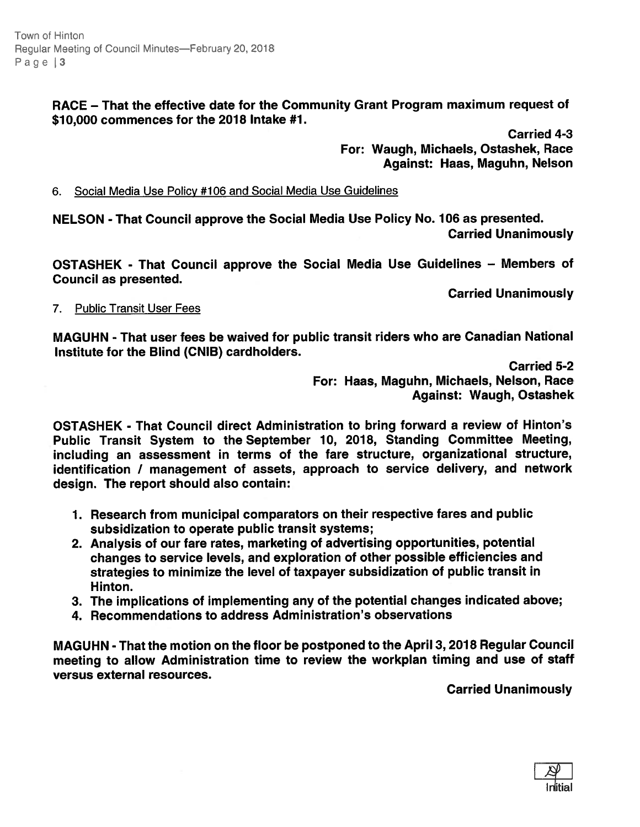Town of Hinton Regular Meeting of Council Minutes—February 20, 2018 Page | 3

> RACE — That the effective date for the Community Grant Program maximum reques<sup>t</sup> of \$70,000 commences for the 2078 Intake #7.

> > Carried 4-3 For: Waugh, Michaels, Ostashek, Race Against: Haas, Maguhn, Nelson

### 6. Social Media Use Policy #106 and Social Media Use Guidelines

NELSON - That Council approve the Social Media Use Policy No. 706 as presented. Carried Unanimously

OSTASHEK - That Council approve the Social Media Use Guidelines — Members of Council as presented.

Carried Unanimously

### 7. Public Transit User Fees

MAGUHN - That user fees be waived for public transit riders who are Canadian National Institute for the Blind (CNIB) cardholders.

> Carried 5-2 For: Haas, Maguhn, Michaels, Nelson, Race Against: Waugh, Ostashek

OSTASHEK - That Council direct Administration to bring forward <sup>a</sup> review of Hinton's Public Transit System to the September 10, 2078, Standing Committee Meeting, including an assessment in terms of the fare structure, organizational structure, identification / managemen<sup>t</sup> of assets, approac<sup>h</sup> to service delivery, and network design. The repor<sup>t</sup> should also contain:

- 1. Research from municipal comparators on their respective fares and public subsidization to operate public transit systems;
- 2. Analysis of our fare rates, marketing of advertising opportunities, potential changes to service levels, and exploration of other possible efficiencies and strategies to minimize the level of taxpayer subsidization of public transit in Hinton.
- 3. The implications of implementing any of the potential changes indicated above;
- 4. Recommendations to address Administration's observations

MAGUHN -That the motion on the floor be postponed to the April 3, 2078 Regular Council meeting to allow Administration time to review the workplan timing and use of staff versus external resources.

Carried Unanimously

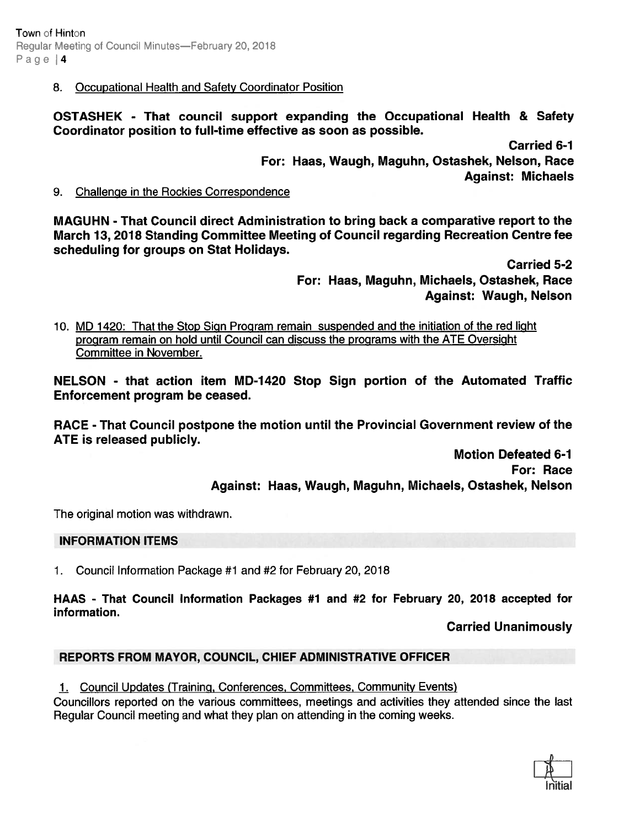8. Occupational Health and Safety Coordinator Position

OSTASHEK - That council suppor<sup>t</sup> expanding the Occupational Health & Safety Coordinator position to full-time effective as soon as possible.

> Carried 6-1 For: Haas, Waugh, Maguhn, Ostashek, Nelson, Race Against: Michaels

9. Challenge in the Rockies Correspondence

MAGUHN - That Council direct Administration to bring back <sup>a</sup> comparative repor<sup>t</sup> to the March 13, 2078 Standing Committee Meeting of Council regarding Recreation Centre fee scheduling for groups on Stat Holidays.

> Carried 5-2 For: Haas, Maguhn, Michaels, Ostashek, Race Against: Waugh, Nelson

10. MD 1420: That the Stop Sign Program remain suspended and the initiation of the red light program remain on hold until Council can discuss the programs with the ATE Oversight Committee in November.

NELSON - that action item MD-1420 Stop Sign portion of the Automated Traffic Enforcement program be ceased.

RACE -That Council postpone the motion until the Provincial Government review of the ATE is released publicly.

> Motion Defeated 6-7 For: Race Against: Haas, Waugh, Maguhn, Michaels, Ostashek, Nelson

The original motion was withdrawn.

## INFORMATION ITEMS

1. Council Information Package #1 and #2 for February 20, 2018

HAAS - That Council Information Packages #1 and #2 for February 20, 2018 accepted for information.

Carried Unanimously

## REPORTS FROM MAYOR, COUNCIL, CHIEF ADMINISTRATIVE OFFICER

1. Council Updates (Training, Conferences, Committees, Community Events)

Councillors reported on the various committees, meetings and activities they attended since the last Regular Council meeting and what they plan on attending in the coming weeks.